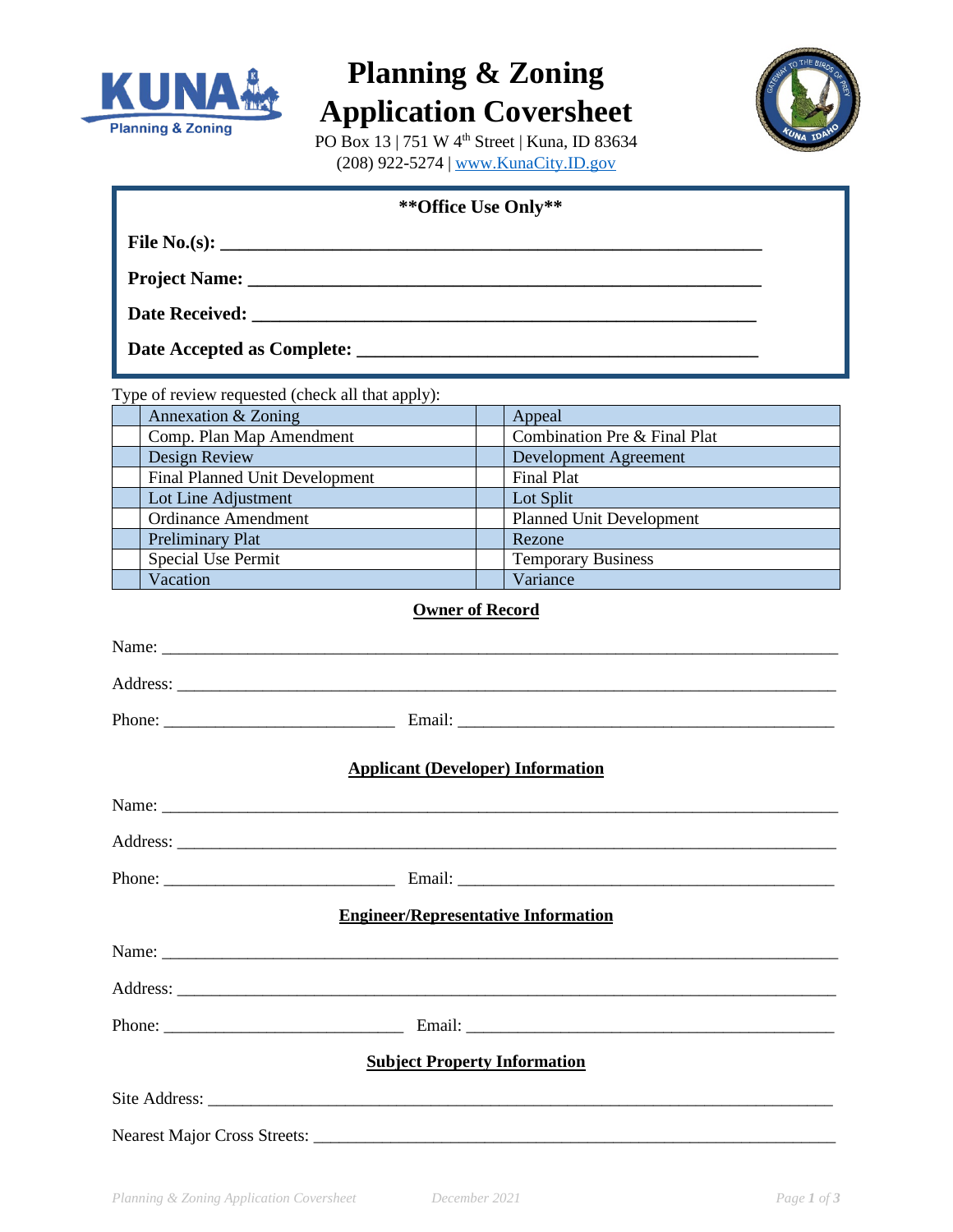

## **Planning & Zoning Application Coversheet**



PO Box 13 | 751 W 4th Street | Kuna, ID 83634 (208) 922-5274 [| www.KunaCity.ID.gov](http://www.kunacity.id.gov/)

| File No.(s): $\qquad \qquad$<br>Type of review requested (check all that apply):<br>Annexation & Zoning<br>Appeal<br>Combination Pre & Final Plat<br>Comp. Plan Map Amendment<br>Design Review<br><b>Development Agreement</b><br><b>Final Planned Unit Development</b><br>Final Plat<br>Lot Line Adjustment<br>Lot Split<br><b>Ordinance Amendment</b><br><b>Planned Unit Development</b><br>Preliminary Plat<br>Rezone<br><b>Temporary Business</b><br>Special Use Permit<br>Vacation<br>Variance<br><b>Owner of Record</b><br><b>Applicant (Developer) Information</b><br>Phone:<br>Email:<br><b>Engineer/Representative Information</b><br><b>Subject Property Information</b> | ** Office Use Only** |  |  |
|------------------------------------------------------------------------------------------------------------------------------------------------------------------------------------------------------------------------------------------------------------------------------------------------------------------------------------------------------------------------------------------------------------------------------------------------------------------------------------------------------------------------------------------------------------------------------------------------------------------------------------------------------------------------------------|----------------------|--|--|
|                                                                                                                                                                                                                                                                                                                                                                                                                                                                                                                                                                                                                                                                                    |                      |  |  |
|                                                                                                                                                                                                                                                                                                                                                                                                                                                                                                                                                                                                                                                                                    |                      |  |  |
|                                                                                                                                                                                                                                                                                                                                                                                                                                                                                                                                                                                                                                                                                    |                      |  |  |
|                                                                                                                                                                                                                                                                                                                                                                                                                                                                                                                                                                                                                                                                                    |                      |  |  |
|                                                                                                                                                                                                                                                                                                                                                                                                                                                                                                                                                                                                                                                                                    |                      |  |  |
|                                                                                                                                                                                                                                                                                                                                                                                                                                                                                                                                                                                                                                                                                    |                      |  |  |
|                                                                                                                                                                                                                                                                                                                                                                                                                                                                                                                                                                                                                                                                                    |                      |  |  |
|                                                                                                                                                                                                                                                                                                                                                                                                                                                                                                                                                                                                                                                                                    |                      |  |  |
|                                                                                                                                                                                                                                                                                                                                                                                                                                                                                                                                                                                                                                                                                    |                      |  |  |
|                                                                                                                                                                                                                                                                                                                                                                                                                                                                                                                                                                                                                                                                                    |                      |  |  |
|                                                                                                                                                                                                                                                                                                                                                                                                                                                                                                                                                                                                                                                                                    |                      |  |  |
|                                                                                                                                                                                                                                                                                                                                                                                                                                                                                                                                                                                                                                                                                    |                      |  |  |
|                                                                                                                                                                                                                                                                                                                                                                                                                                                                                                                                                                                                                                                                                    |                      |  |  |
|                                                                                                                                                                                                                                                                                                                                                                                                                                                                                                                                                                                                                                                                                    |                      |  |  |
|                                                                                                                                                                                                                                                                                                                                                                                                                                                                                                                                                                                                                                                                                    |                      |  |  |
|                                                                                                                                                                                                                                                                                                                                                                                                                                                                                                                                                                                                                                                                                    |                      |  |  |
|                                                                                                                                                                                                                                                                                                                                                                                                                                                                                                                                                                                                                                                                                    |                      |  |  |
|                                                                                                                                                                                                                                                                                                                                                                                                                                                                                                                                                                                                                                                                                    |                      |  |  |
|                                                                                                                                                                                                                                                                                                                                                                                                                                                                                                                                                                                                                                                                                    |                      |  |  |
|                                                                                                                                                                                                                                                                                                                                                                                                                                                                                                                                                                                                                                                                                    |                      |  |  |
|                                                                                                                                                                                                                                                                                                                                                                                                                                                                                                                                                                                                                                                                                    |                      |  |  |
|                                                                                                                                                                                                                                                                                                                                                                                                                                                                                                                                                                                                                                                                                    |                      |  |  |
|                                                                                                                                                                                                                                                                                                                                                                                                                                                                                                                                                                                                                                                                                    |                      |  |  |
|                                                                                                                                                                                                                                                                                                                                                                                                                                                                                                                                                                                                                                                                                    |                      |  |  |
|                                                                                                                                                                                                                                                                                                                                                                                                                                                                                                                                                                                                                                                                                    |                      |  |  |
|                                                                                                                                                                                                                                                                                                                                                                                                                                                                                                                                                                                                                                                                                    |                      |  |  |
|                                                                                                                                                                                                                                                                                                                                                                                                                                                                                                                                                                                                                                                                                    |                      |  |  |
|                                                                                                                                                                                                                                                                                                                                                                                                                                                                                                                                                                                                                                                                                    |                      |  |  |
|                                                                                                                                                                                                                                                                                                                                                                                                                                                                                                                                                                                                                                                                                    |                      |  |  |
|                                                                                                                                                                                                                                                                                                                                                                                                                                                                                                                                                                                                                                                                                    |                      |  |  |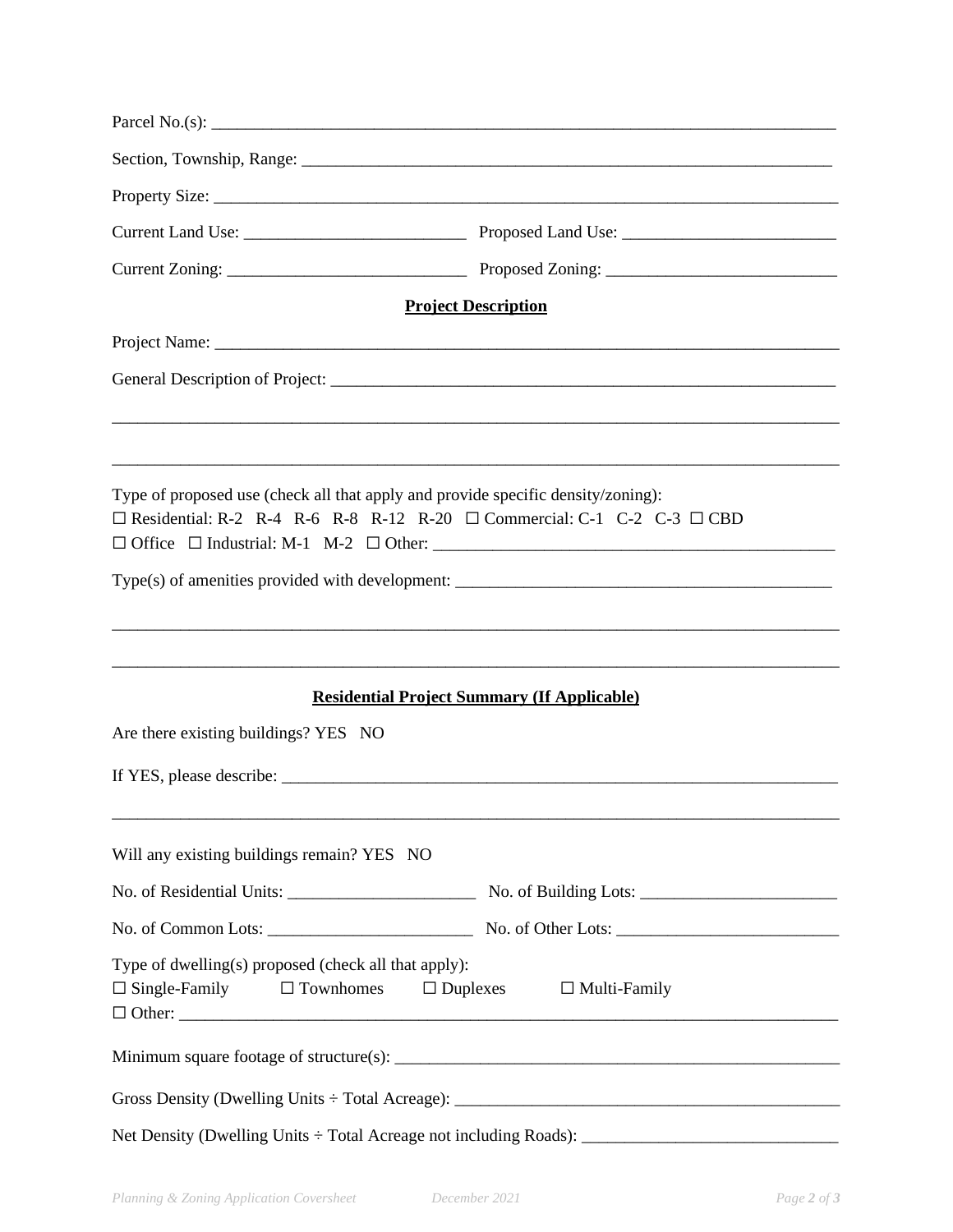|                                                                                                                                                                             | <b>Project Description</b>                         |
|-----------------------------------------------------------------------------------------------------------------------------------------------------------------------------|----------------------------------------------------|
|                                                                                                                                                                             |                                                    |
|                                                                                                                                                                             |                                                    |
|                                                                                                                                                                             |                                                    |
|                                                                                                                                                                             |                                                    |
| Type of proposed use (check all that apply and provide specific density/zoning):<br>$\Box$ Residential: R-2 R-4 R-6 R-8 R-12 R-20 $\Box$ Commercial: C-1 C-2 C-3 $\Box$ CBD |                                                    |
|                                                                                                                                                                             |                                                    |
|                                                                                                                                                                             |                                                    |
|                                                                                                                                                                             |                                                    |
|                                                                                                                                                                             | <b>Residential Project Summary (If Applicable)</b> |
| Are there existing buildings? YES NO                                                                                                                                        |                                                    |
|                                                                                                                                                                             |                                                    |
| Will any existing buildings remain? YES NO                                                                                                                                  |                                                    |
|                                                                                                                                                                             |                                                    |
|                                                                                                                                                                             |                                                    |
| Type of dwelling(s) proposed (check all that apply):<br>$\Box$ Single-Family<br>$\Box$ Townhomes                                                                            | $\Box$ Duplexes<br>$\Box$ Multi-Family             |
|                                                                                                                                                                             |                                                    |
|                                                                                                                                                                             |                                                    |
|                                                                                                                                                                             |                                                    |